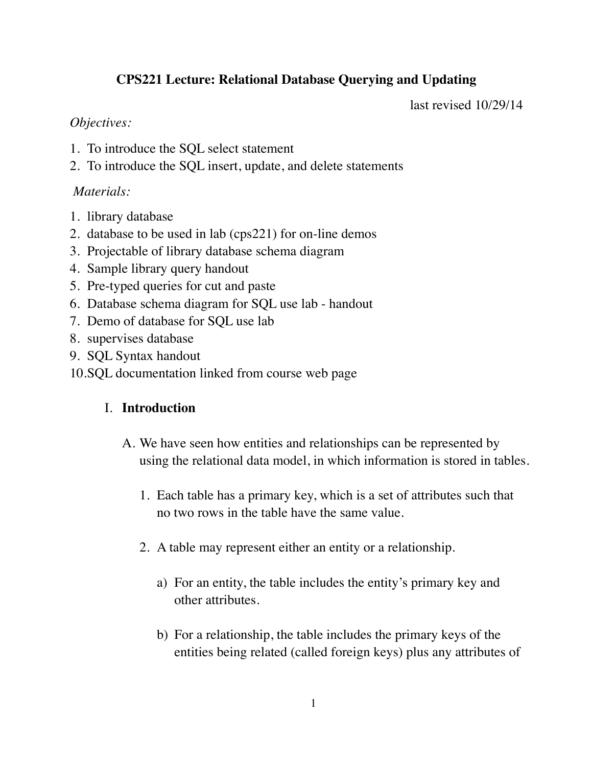# **CPS221 Lecture: Relational Database Querying and Updating**

last revised 10/29/14

### *Objectives:*

- 1. To introduce the SQL select statement
- 2. To introduce the SQL insert, update, and delete statements

## *Materials:*

- 1. library database
- 2. database to be used in lab (cps221) for on-line demos
- 3. Projectable of library database schema diagram
- 4. Sample library query handout
- 5. Pre-typed queries for cut and paste
- 6. Database schema diagram for SQL use lab handout
- 7. Demo of database for SQL use lab
- 8. supervises database
- 9. SQL Syntax handout
- 10.SQL documentation linked from course web page

# I. **Introduction**

- A. We have seen how entities and relationships can be represented by using the relational data model, in which information is stored in tables.
	- 1. Each table has a primary key, which is a set of attributes such that no two rows in the table have the same value.
	- 2. A table may represent either an entity or a relationship.
		- a) For an entity, the table includes the entity's primary key and other attributes.
		- b) For a relationship, the table includes the primary keys of the entities being related (called foreign keys) plus any attributes of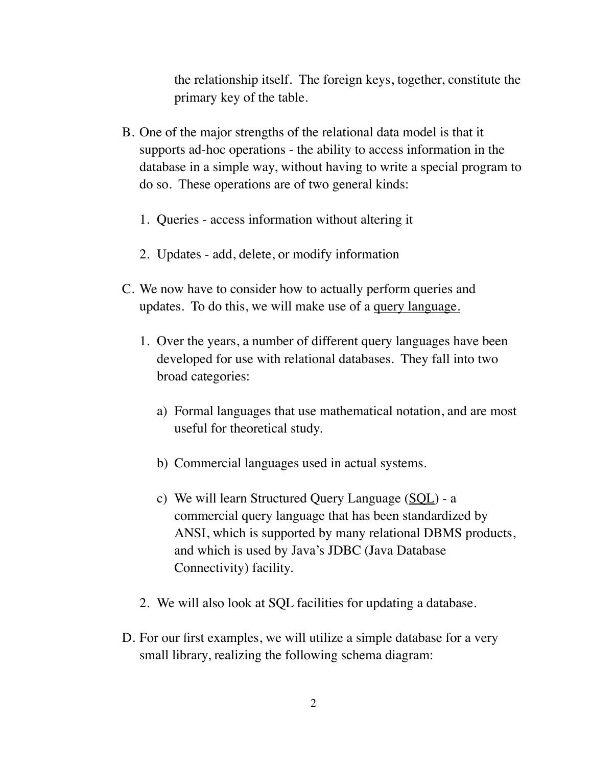the relationship itself. The foreign keys, together, constitute the primary key of the table.

- B. One of the major strengths of the relational data model is that it supports ad-hoc operations - the ability to access information in the database in a simple way, without having to write a special program to do so. These operations are of two general kinds:
	- 1. Queries access information without altering it
	- 2. Updates add, delete, or modify information
- C. We now have to consider how to actually perform queries and updates. To do this, we will make use of a query language.
	- 1. Over the years, a number of different query languages have been developed for use with relational databases. They fall into two broad categories:
		- a) Formal languages that use mathematical notation, and are most useful for theoretical study.
		- b) Commercial languages used in actual systems.
		- c) We will learn Structured Query Language (SQL) a commercial query language that has been standardized by ANSI, which is supported by many relational DBMS products, and which is used by Java's JDBC (Java Database Connectivity) facility.
	- 2. We will also look at SQL facilities for updating a database.
- D. For our first examples, we will utilize a simple database for a very small library, realizing the following schema diagram: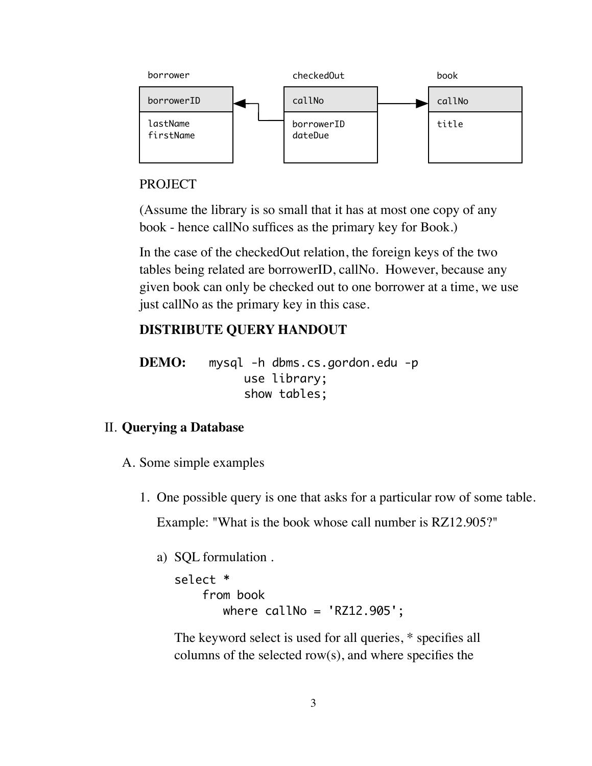

#### PROJECT

(Assume the library is so small that it has at most one copy of any book - hence callNo suffices as the primary key for Book.)

In the case of the checkedOut relation, the foreign keys of the two tables being related are borrowerID, callNo. However, because any given book can only be checked out to one borrower at a time, we use just callNo as the primary key in this case.

## **DISTRIBUTE QUERY HANDOUT**

**DEMO:** mysql -h dbms.cs.gordon.edu -p use library; show tables;

#### II. **Querying a Database**

- A. Some simple examples
	- 1. One possible query is one that asks for a particular row of some table. Example: "What is the book whose call number is RZ12.905?"
		- a) SQL formulation .

```
select * 
    from book
      where calN12.905';
```
The keyword select is used for all queries, \* specifies all columns of the selected row(s), and where specifies the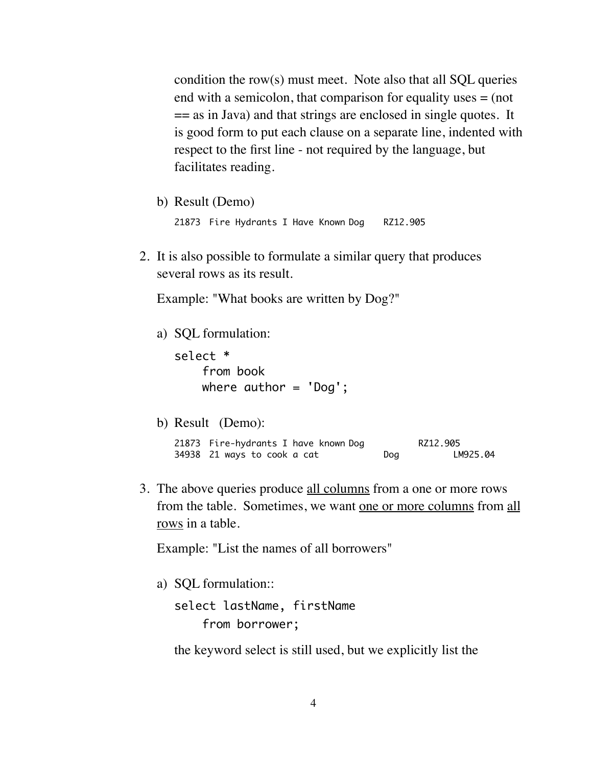condition the row(s) must meet. Note also that all SQL queries end with a semicolon, that comparison for equality uses = (not  $=$  as in Java) and that strings are enclosed in single quotes. It is good form to put each clause on a separate line, indented with respect to the first line - not required by the language, but facilitates reading.

b) Result (Demo)

21873 Fire Hydrants I Have Known Dog RZ12.905

2. It is also possible to formulate a similar query that produces several rows as its result.

Example: "What books are written by Dog?"

a) SQL formulation:

select \* from book where  $author = 'Dog';$ 

b) Result (Demo):

21873 Fire-hydrants I have known Dog RZ12.905 34938 21 ways to cook a cat bog bog LM925.04

3. The above queries produce all columns from a one or more rows from the table. Sometimes, we want one or more columns from all rows in a table.

Example: "List the names of all borrowers"

a) SQL formulation::

```
select lastName, firstName 
     from borrower;
```
the keyword select is still used, but we explicitly list the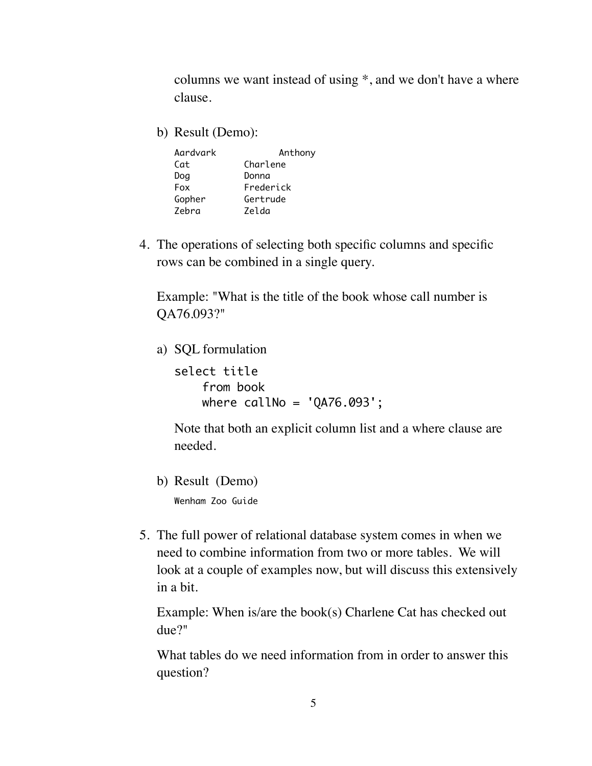columns we want instead of using \*, and we don't have a where clause.

b) Result (Demo):

| Aardvark   | Anthony   |
|------------|-----------|
| Cat        | Charlene  |
| Dog        | Donna     |
| <b>Fox</b> | Frederick |
| Gopher     | Gertrude  |
| Zebra      | Zelda     |

4. The operations of selecting both specific columns and specific rows can be combined in a single query.

Example: "What is the title of the book whose call number is QA76.093?"

a) SQL formulation

select title from book where  $calN$ 11No = 'QA76.093';

Note that both an explicit column list and a where clause are needed.

b) Result (Demo)

Wenham Zoo Guide

5. The full power of relational database system comes in when we need to combine information from two or more tables. We will look at a couple of examples now, but will discuss this extensively in a bit.

Example: When is/are the book(s) Charlene Cat has checked out due?"

What tables do we need information from in order to answer this question?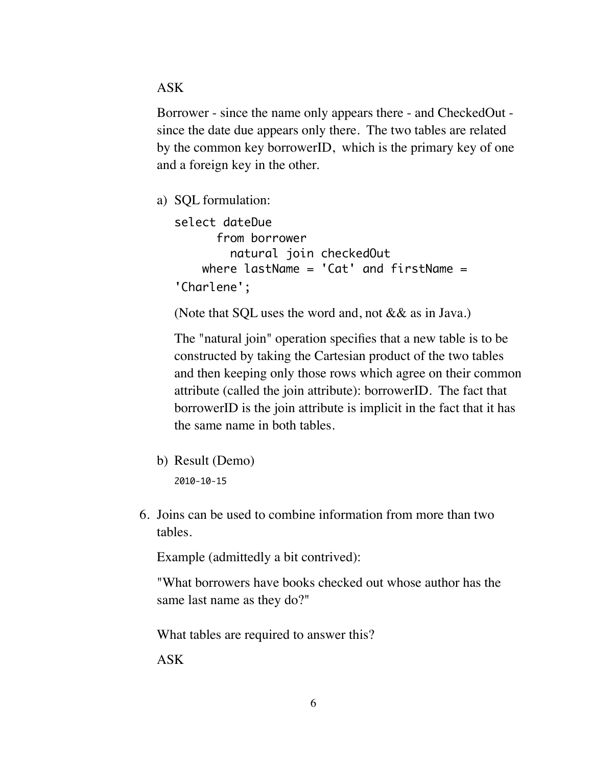ASK

Borrower - since the name only appears there - and CheckedOut since the date due appears only there. The two tables are related by the common key borrowerID, which is the primary key of one and a foreign key in the other.

a) SQL formulation:

```
select dateDue
       from borrower 
         natural join checkedOut
    where lastName = 'Cat' and firstName ='Charlene';
```
(Note that SQL uses the word and, not && as in Java.)

The "natural join" operation specifies that a new table is to be constructed by taking the Cartesian product of the two tables and then keeping only those rows which agree on their common attribute (called the join attribute): borrowerID. The fact that borrowerID is the join attribute is implicit in the fact that it has the same name in both tables.

- b) Result (Demo) 2010-10-15
- 6. Joins can be used to combine information from more than two tables.

Example (admittedly a bit contrived):

"What borrowers have books checked out whose author has the same last name as they do?"

What tables are required to answer this?

ASK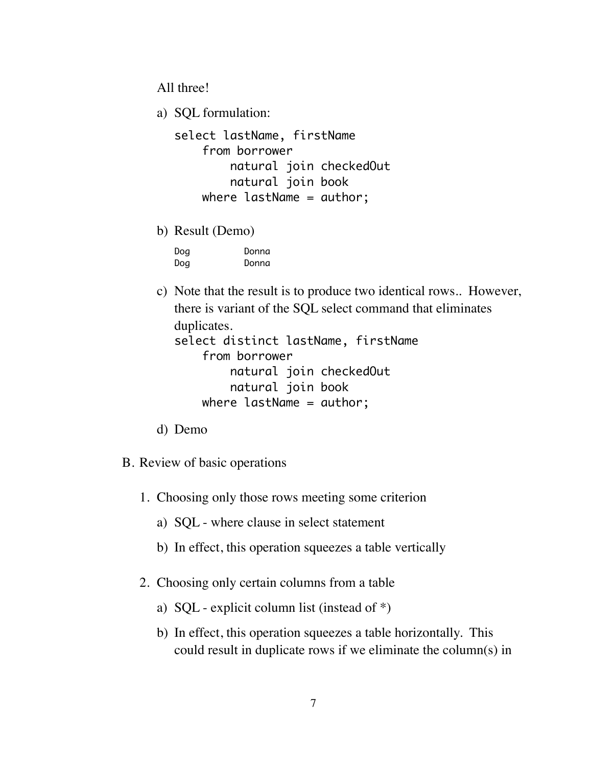All three!

a) SQL formulation:

```
select lastName, firstName
     from borrower 
         natural join checkedOut
         natural join book
    where lastName = author;
```
b) Result (Demo)

| Dog | Donna |
|-----|-------|
| Dog | Donna |

c) Note that the result is to produce two identical rows.. However, there is variant of the SQL select command that eliminates duplicates. select distinct lastName, firstName from borrower natural join checkedOut

```
 natural join book
where lastName = author;
```
- d) Demo
- B. Review of basic operations
	- 1. Choosing only those rows meeting some criterion
		- a) SQL where clause in select statement
		- b) In effect, this operation squeezes a table vertically
	- 2. Choosing only certain columns from a table
		- a) SQL explicit column list (instead of \*)
		- b) In effect, this operation squeezes a table horizontally. This could result in duplicate rows if we eliminate the column(s) in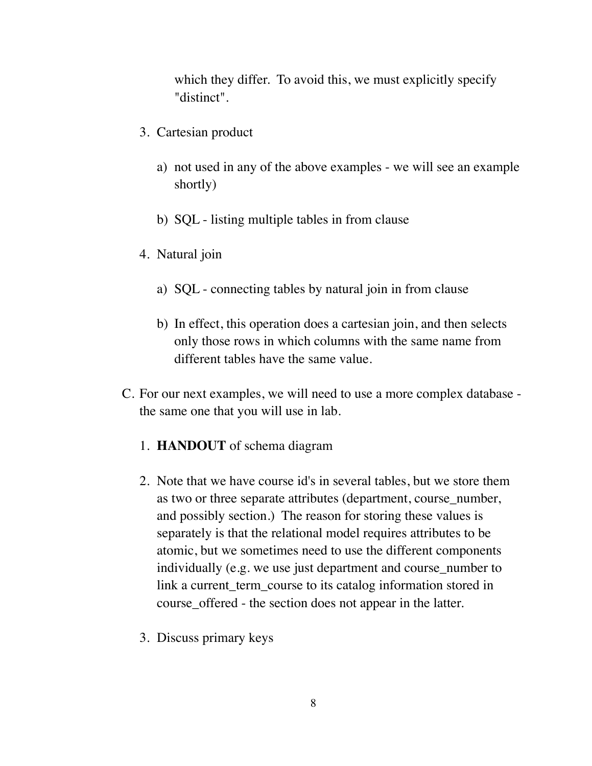which they differ. To avoid this, we must explicitly specify "distinct".

- 3. Cartesian product
	- a) not used in any of the above examples we will see an example shortly)
	- b) SQL listing multiple tables in from clause
- 4. Natural join
	- a) SQL connecting tables by natural join in from clause
	- b) In effect, this operation does a cartesian join, and then selects only those rows in which columns with the same name from different tables have the same value.
- C. For our next examples, we will need to use a more complex database the same one that you will use in lab.
	- 1. **HANDOUT** of schema diagram
	- 2. Note that we have course id's in several tables, but we store them as two or three separate attributes (department, course\_number, and possibly section.) The reason for storing these values is separately is that the relational model requires attributes to be atomic, but we sometimes need to use the different components individually (e.g. we use just department and course\_number to link a current term course to its catalog information stored in course\_offered - the section does not appear in the latter.
	- 3. Discuss primary keys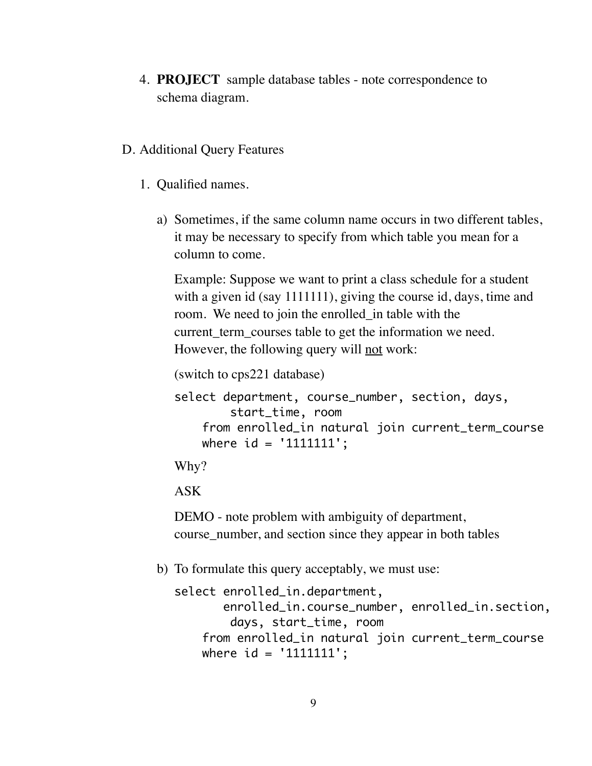4. **PROJECT** sample database tables - note correspondence to schema diagram.

## D. Additional Query Features

- 1. Qualified names.
	- a) Sometimes, if the same column name occurs in two different tables, it may be necessary to specify from which table you mean for a column to come.

Example: Suppose we want to print a class schedule for a student with a given id (say 1111111), giving the course id, days, time and room. We need to join the enrolled\_in table with the current\_term\_courses table to get the information we need. However, the following query will not work:

(switch to cps221 database)

```
select department, course_number, section, days,
         start_time, room
     from enrolled_in natural join current_term_course
     where id = '1111111';
```
Why?

ASK

DEMO - note problem with ambiguity of department, course\_number, and section since they appear in both tables

b) To formulate this query acceptably, we must use:

```
select enrolled_in.department, 
        enrolled_in.course_number, enrolled_in.section,
         days, start_time, room
     from enrolled_in natural join current_term_course
    where id = '1111111';
```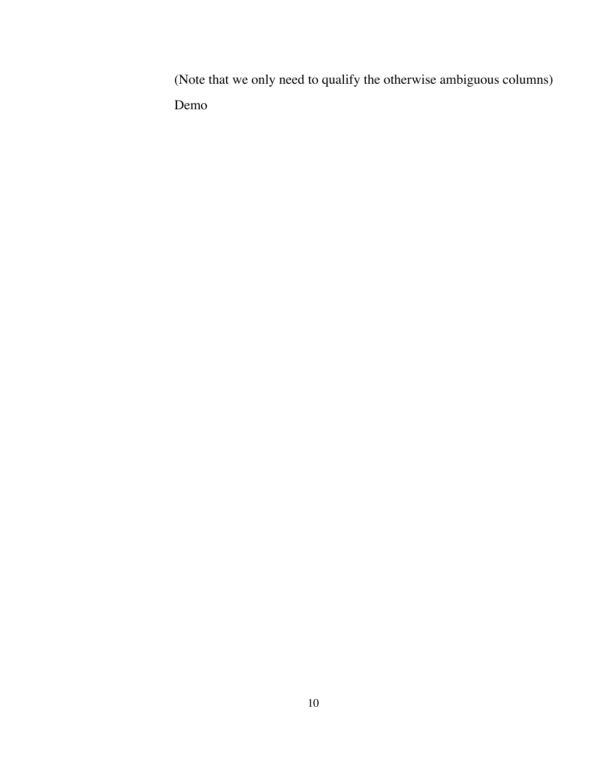(Note that we only need to qualify the otherwise ambiguous columns) Demo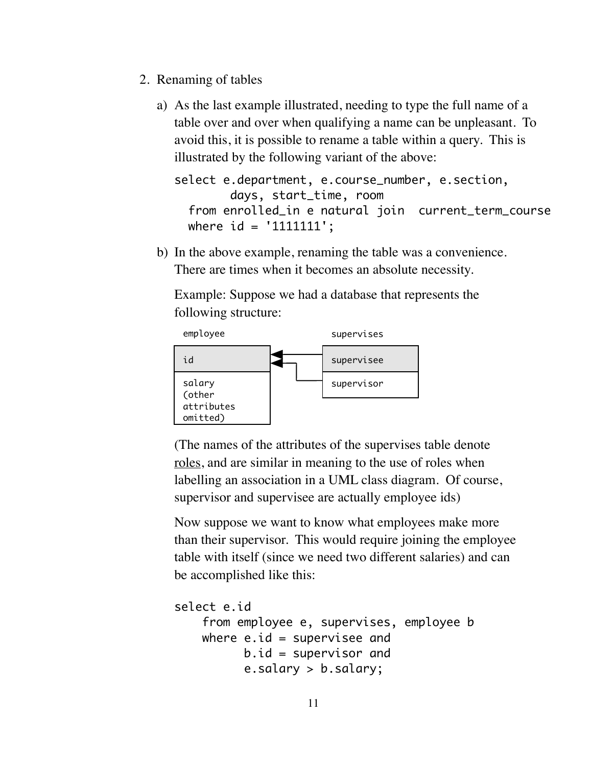- 2. Renaming of tables
	- a) As the last example illustrated, needing to type the full name of a table over and over when qualifying a name can be unpleasant. To avoid this, it is possible to rename a table within a query. This is illustrated by the following variant of the above:

```
select e.department, e.course number, e.section,
         days, start_time, room
   from enrolled_in e natural join current_term_course
  where id = '1111111';
```
b) In the above example, renaming the table was a convenience. There are times when it becomes an absolute necessity.

Example: Suppose we had a database that represents the following structure:



(The names of the attributes of the supervises table denote roles, and are similar in meaning to the use of roles when labelling an association in a UML class diagram. Of course, supervisor and supervisee are actually employee ids)

Now suppose we want to know what employees make more than their supervisor. This would require joining the employee table with itself (since we need two different salaries) and can be accomplished like this:

```
select e.id
     from employee e, supervises, employee b
    where e, id = supervisee and
          b.id = supervisor and e.salary > b.salary;
```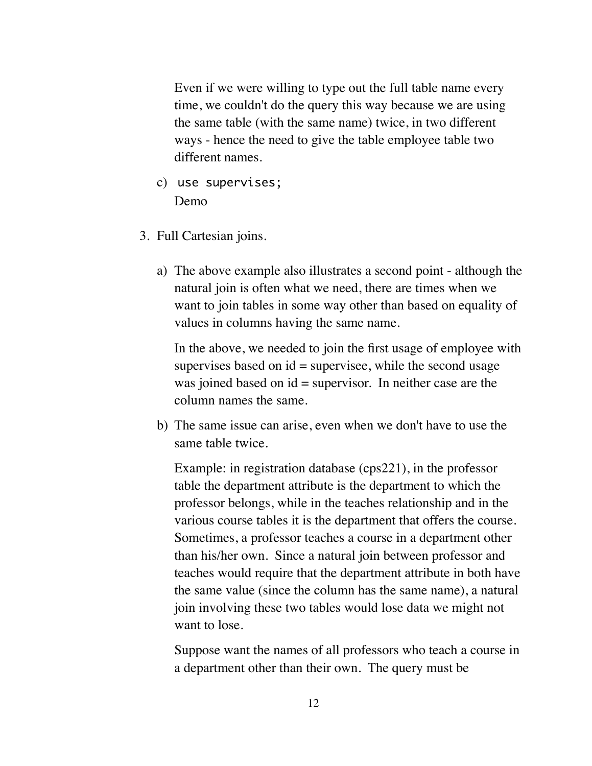Even if we were willing to type out the full table name every time, we couldn't do the query this way because we are using the same table (with the same name) twice, in two different ways - hence the need to give the table employee table two different names.

- c) use supervises; Demo
- 3. Full Cartesian joins.
	- a) The above example also illustrates a second point although the natural join is often what we need, there are times when we want to join tables in some way other than based on equality of values in columns having the same name.

In the above, we needed to join the first usage of employee with supervises based on  $id =$  supervisee, while the second usage was joined based on  $id =$  supervisor. In neither case are the column names the same.

b) The same issue can arise, even when we don't have to use the same table twice.

Example: in registration database (cps221), in the professor table the department attribute is the department to which the professor belongs, while in the teaches relationship and in the various course tables it is the department that offers the course. Sometimes, a professor teaches a course in a department other than his/her own. Since a natural join between professor and teaches would require that the department attribute in both have the same value (since the column has the same name), a natural join involving these two tables would lose data we might not want to lose.

Suppose want the names of all professors who teach a course in a department other than their own. The query must be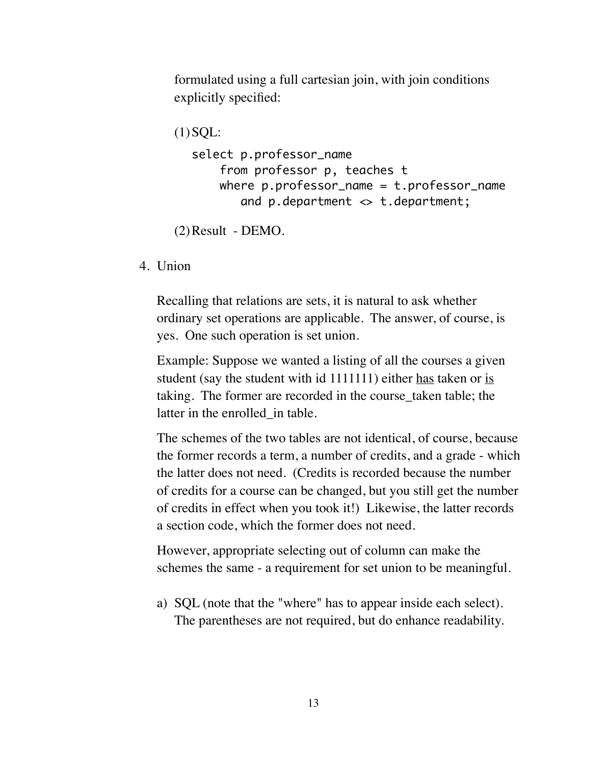formulated using a full cartesian join, with join conditions explicitly specified:

```
(1) SOL:
  select p.professor_name
       from professor p, teaches t
      where p.professor_name = t.professor_name and p.department <> t.department;
```
(2)Result - DEMO.

4. Union

Recalling that relations are sets, it is natural to ask whether ordinary set operations are applicable. The answer, of course, is yes. One such operation is set union.

Example: Suppose we wanted a listing of all the courses a given student (say the student with id 1111111) either has taken or is taking. The former are recorded in the course\_taken table; the latter in the enrolled in table.

The schemes of the two tables are not identical, of course, because the former records a term, a number of credits, and a grade - which the latter does not need. (Credits is recorded because the number of credits for a course can be changed, but you still get the number of credits in effect when you took it!) Likewise, the latter records a section code, which the former does not need.

However, appropriate selecting out of column can make the schemes the same - a requirement for set union to be meaningful.

a) SQL (note that the "where" has to appear inside each select). The parentheses are not required, but do enhance readability.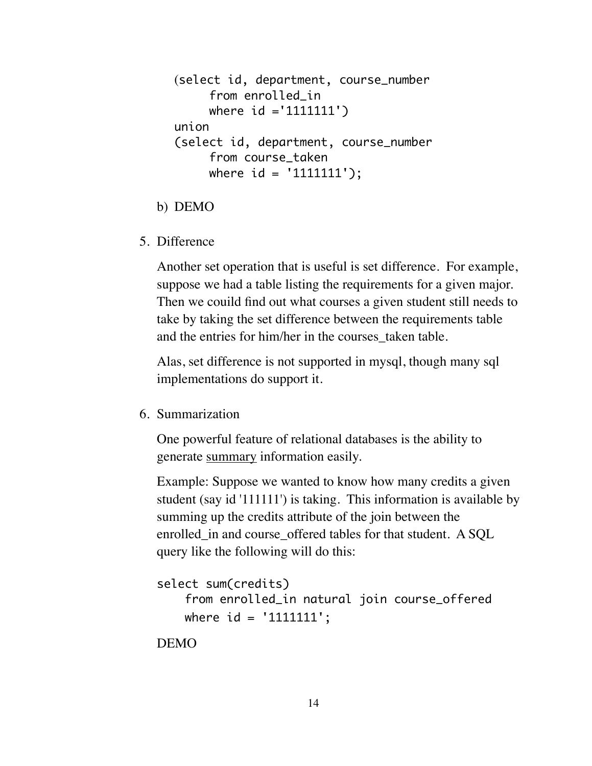```
(select id, department, course_number 
     from enrolled_in
     where id ='1111111')
union
(select id, department, course_number
     from course_taken
     where id = '1111111');
```
- b) DEMO
- 5. Difference

Another set operation that is useful is set difference. For example, suppose we had a table listing the requirements for a given major. Then we couild find out what courses a given student still needs to take by taking the set difference between the requirements table and the entries for him/her in the courses taken table.

Alas, set difference is not supported in mysql, though many sql implementations do support it.

6. Summarization

One powerful feature of relational databases is the ability to generate summary information easily.

Example: Suppose we wanted to know how many credits a given student (say id '111111') is taking. This information is available by summing up the credits attribute of the join between the enrolled in and course offered tables for that student. A SQL query like the following will do this:

```
select sum(credits)
     from enrolled_in natural join course_offered
    where id = '1111111';
```
DEMO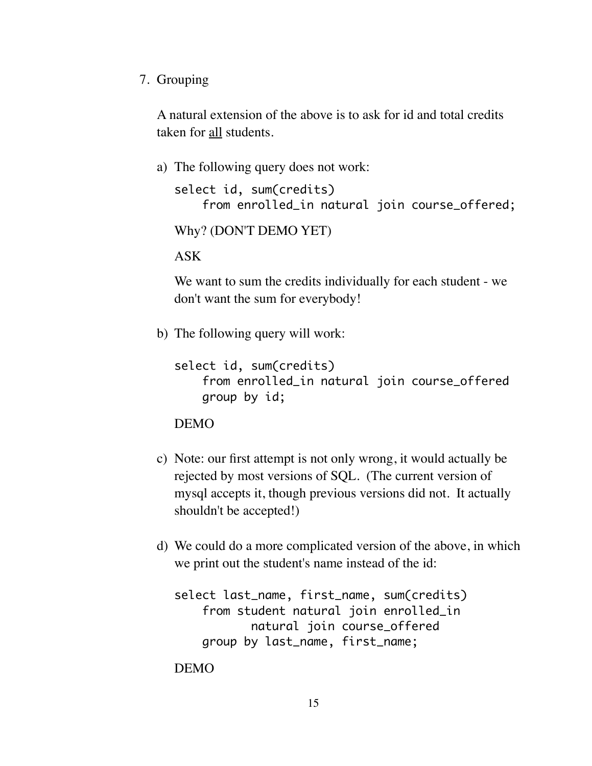7. Grouping

A natural extension of the above is to ask for id and total credits taken for all students.

a) The following query does not work:

```
select id, sum(credits)
     from enrolled_in natural join course_offered;
```

```
Why? (DON'T DEMO YET)
```
ASK

We want to sum the credits individually for each student - we don't want the sum for everybody!

b) The following query will work:

```
select id, sum(credits)
     from enrolled_in natural join course_offered
     group by id;
```
DEMO

- c) Note: our first attempt is not only wrong, it would actually be rejected by most versions of SQL. (The current version of mysql accepts it, though previous versions did not. It actually shouldn't be accepted!)
- d) We could do a more complicated version of the above, in which we print out the student's name instead of the id:

```
select last_name, first_name, sum(credits)
     from student natural join enrolled_in
           natural join course offered
     group by last_name, first_name;
```
DEMO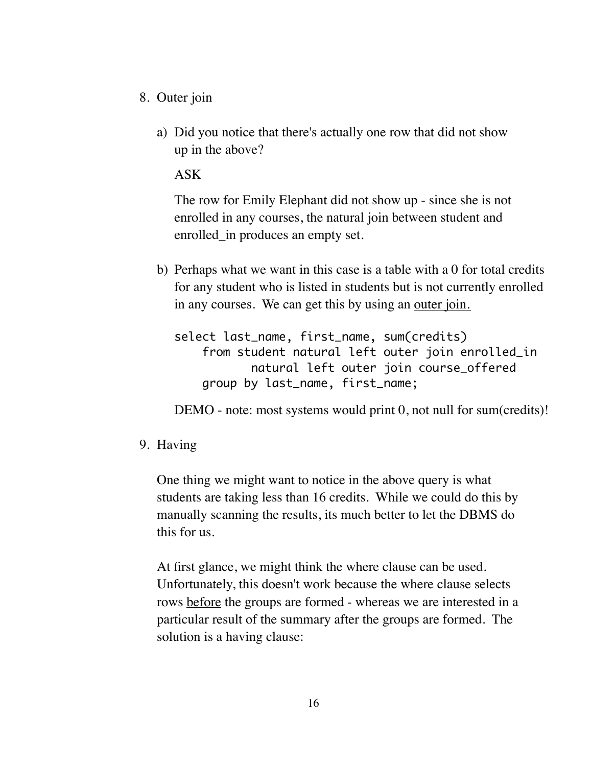- 8. Outer join
	- a) Did you notice that there's actually one row that did not show up in the above?

ASK

The row for Emily Elephant did not show up - since she is not enrolled in any courses, the natural join between student and enrolled\_in produces an empty set.

b) Perhaps what we want in this case is a table with a 0 for total credits for any student who is listed in students but is not currently enrolled in any courses. We can get this by using an outer join*.*

```
select last_name, first_name, sum(credits)
     from student natural left outer join enrolled_in
            natural left outer join course_offered
     group by last_name, first_name;
```
DEMO - note: most systems would print 0, not null for sum(credits)!

9. Having

One thing we might want to notice in the above query is what students are taking less than 16 credits. While we could do this by manually scanning the results, its much better to let the DBMS do this for us.

At first glance, we might think the where clause can be used. Unfortunately, this doesn't work because the where clause selects rows before the groups are formed - whereas we are interested in a particular result of the summary after the groups are formed. The solution is a having clause: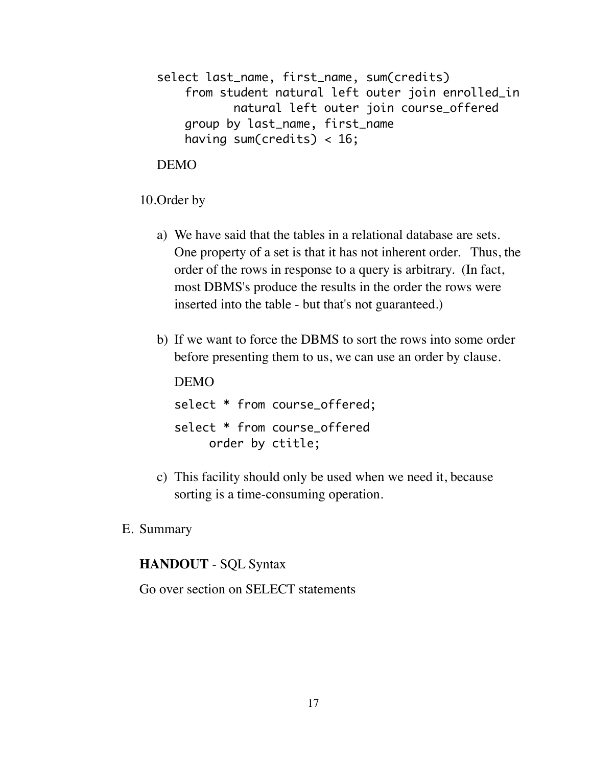```
select last_name, first_name, sum(credits)
     from student natural left outer join enrolled_in
            natural left outer join course_offered
     group by last_name, first_name
    having sum(credits) < 16;
```
DEMO

10.Order by

- a) We have said that the tables in a relational database are sets. One property of a set is that it has not inherent order. Thus, the order of the rows in response to a query is arbitrary. (In fact, most DBMS's produce the results in the order the rows were inserted into the table - but that's not guaranteed.)
- b) If we want to force the DBMS to sort the rows into some order before presenting them to us, we can use an order by clause.

DEMO select \* from course\_offered; select \* from course\_offered order by ctitle;

- c) This facility should only be used when we need it, because sorting is a time-consuming operation.
- E. Summary

#### **HANDOUT** - SQL Syntax

Go over section on SELECT statements